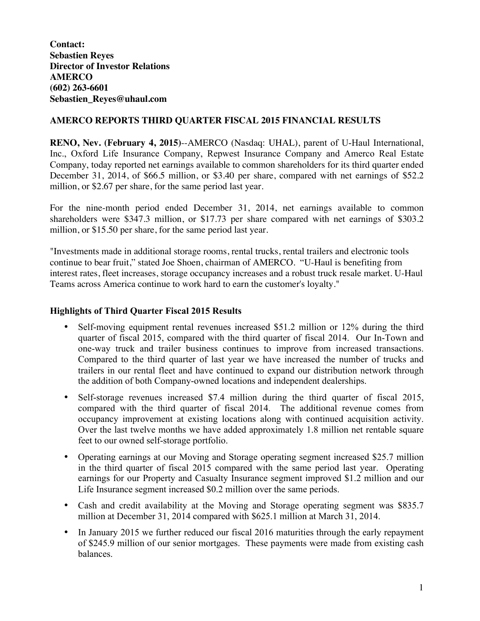**Contact: Sebastien Reyes Director of Investor Relations AMERCO (602) 263-6601 Sebastien\_Reyes@uhaul.com**

# **AMERCO REPORTS THIRD QUARTER FISCAL 2015 FINANCIAL RESULTS**

**RENO, Nev. (February 4, 2015)**--AMERCO (Nasdaq: UHAL), parent of U-Haul International, Inc., Oxford Life Insurance Company, Repwest Insurance Company and Amerco Real Estate Company, today reported net earnings available to common shareholders for its third quarter ended December 31, 2014, of \$66.5 million, or \$3.40 per share, compared with net earnings of \$52.2 million, or \$2.67 per share, for the same period last year.

For the nine-month period ended December 31, 2014, net earnings available to common shareholders were \$347.3 million, or \$17.73 per share compared with net earnings of \$303.2 million, or \$15.50 per share, for the same period last year.

"Investments made in additional storage rooms, rental trucks, rental trailers and electronic tools continue to bear fruit," stated Joe Shoen, chairman of AMERCO. "U-Haul is benefiting from interest rates, fleet increases, storage occupancy increases and a robust truck resale market. U-Haul Teams across America continue to work hard to earn the customer's loyalty."

# **Highlights of Third Quarter Fiscal 2015 Results**

- Self-moving equipment rental revenues increased \$51.2 million or 12% during the third quarter of fiscal 2015, compared with the third quarter of fiscal 2014. Our In-Town and one-way truck and trailer business continues to improve from increased transactions. Compared to the third quarter of last year we have increased the number of trucks and trailers in our rental fleet and have continued to expand our distribution network through the addition of both Company-owned locations and independent dealerships.
- Self-storage revenues increased \$7.4 million during the third quarter of fiscal 2015, compared with the third quarter of fiscal 2014. The additional revenue comes from occupancy improvement at existing locations along with continued acquisition activity. Over the last twelve months we have added approximately 1.8 million net rentable square feet to our owned self-storage portfolio.
- Operating earnings at our Moving and Storage operating segment increased \$25.7 million in the third quarter of fiscal 2015 compared with the same period last year. Operating earnings for our Property and Casualty Insurance segment improved \$1.2 million and our Life Insurance segment increased \$0.2 million over the same periods.
- Cash and credit availability at the Moving and Storage operating segment was \$835.7 million at December 31, 2014 compared with \$625.1 million at March 31, 2014.
- In January 2015 we further reduced our fiscal 2016 maturities through the early repayment of \$245.9 million of our senior mortgages. These payments were made from existing cash balances.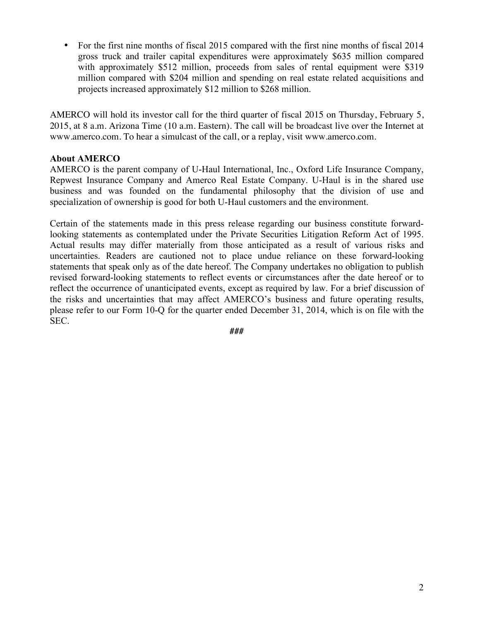• For the first nine months of fiscal 2015 compared with the first nine months of fiscal 2014 gross truck and trailer capital expenditures were approximately \$635 million compared with approximately \$512 million, proceeds from sales of rental equipment were \$319 million compared with \$204 million and spending on real estate related acquisitions and projects increased approximately \$12 million to \$268 million.

AMERCO will hold its investor call for the third quarter of fiscal 2015 on Thursday, February 5, 2015, at 8 a.m. Arizona Time (10 a.m. Eastern). The call will be broadcast live over the Internet at www.amerco.com. To hear a simulcast of the call, or a replay, visit www.amerco.com.

# **About AMERCO**

AMERCO is the parent company of U-Haul International, Inc., Oxford Life Insurance Company, Repwest Insurance Company and Amerco Real Estate Company. U-Haul is in the shared use business and was founded on the fundamental philosophy that the division of use and specialization of ownership is good for both U-Haul customers and the environment.

Certain of the statements made in this press release regarding our business constitute forwardlooking statements as contemplated under the Private Securities Litigation Reform Act of 1995. Actual results may differ materially from those anticipated as a result of various risks and uncertainties. Readers are cautioned not to place undue reliance on these forward-looking statements that speak only as of the date hereof. The Company undertakes no obligation to publish revised forward-looking statements to reflect events or circumstances after the date hereof or to reflect the occurrence of unanticipated events, except as required by law. For a brief discussion of the risks and uncertainties that may affect AMERCO's business and future operating results, please refer to our Form 10-Q for the quarter ended December 31, 2014, which is on file with the SEC.

*###*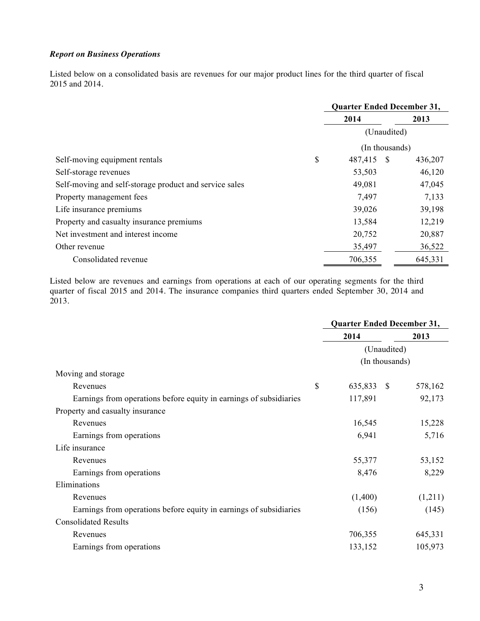#### *Report on Business Operations*

Listed below on a consolidated basis are revenues for our major product lines for the third quarter of fiscal 2015 and 2014.

|                                                        | <b>Quarter Ended December 31,</b> |      |         |
|--------------------------------------------------------|-----------------------------------|------|---------|
|                                                        | 2014                              | 2013 |         |
|                                                        | (Unaudited)                       |      |         |
|                                                        | (In thousands)                    |      |         |
| Self-moving equipment rentals                          | \$<br>487,415                     | -S   | 436,207 |
| Self-storage revenues                                  | 53,503                            |      | 46,120  |
| Self-moving and self-storage product and service sales | 49,081                            |      | 47,045  |
| Property management fees                               | 7,497                             |      | 7,133   |
| Life insurance premiums                                | 39,026                            |      | 39,198  |
| Property and casualty insurance premiums               | 13,584                            |      | 12,219  |
| Net investment and interest income                     | 20,752                            |      | 20,887  |
| Other revenue                                          | 35,497                            |      | 36,522  |
| Consolidated revenue                                   | 706,355                           |      | 645,331 |

Listed below are revenues and earnings from operations at each of our operating segments for the third quarter of fiscal 2015 and 2014. The insurance companies third quarters ended September 30, 2014 and 2013.

|                                                                    | Quarter Ended December 31,    |                          |  |
|--------------------------------------------------------------------|-------------------------------|--------------------------|--|
|                                                                    | 2014                          | 2013                     |  |
|                                                                    | (Unaudited)<br>(In thousands) |                          |  |
|                                                                    |                               |                          |  |
| Moving and storage                                                 |                               |                          |  |
| \$<br>Revenues                                                     | 635,833                       | 578,162<br><sup>\$</sup> |  |
| Earnings from operations before equity in earnings of subsidiaries | 117,891                       | 92,173                   |  |
| Property and casualty insurance                                    |                               |                          |  |
| Revenues                                                           | 16,545                        | 15,228                   |  |
| Earnings from operations                                           | 6,941                         | 5,716                    |  |
| Life insurance                                                     |                               |                          |  |
| Revenues                                                           | 55,377                        | 53,152                   |  |
| Earnings from operations                                           | 8,476                         | 8,229                    |  |
| Eliminations                                                       |                               |                          |  |
| Revenues                                                           | (1,400)                       | (1,211)                  |  |
| Earnings from operations before equity in earnings of subsidiaries | (156)                         | (145)                    |  |
| <b>Consolidated Results</b>                                        |                               |                          |  |
| Revenues                                                           | 706,355                       | 645,331                  |  |
| Earnings from operations                                           | 133,152                       | 105,973                  |  |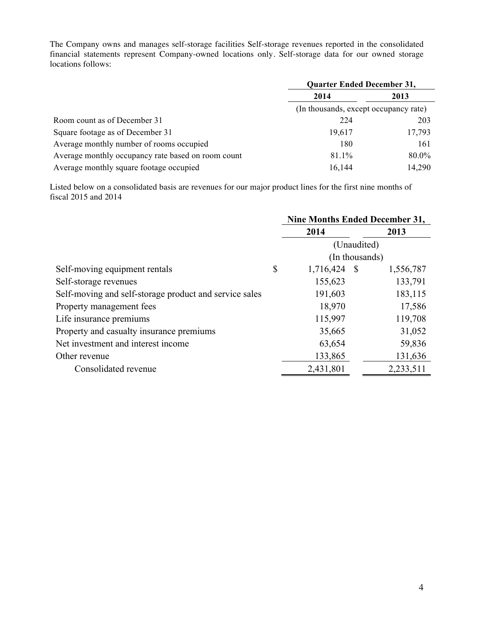The Company owns and manages self-storage facilities Self-storage revenues reported in the consolidated financial statements represent Company-owned locations only. Self-storage data for our owned storage locations follows:

|                                                    | <b>Quarter Ended December 31,</b>     |        |  |  |  |
|----------------------------------------------------|---------------------------------------|--------|--|--|--|
|                                                    | 2014                                  | 2013   |  |  |  |
|                                                    | (In thousands, except occupancy rate) |        |  |  |  |
| Room count as of December 31                       | 224                                   | 203    |  |  |  |
| Square footage as of December 31                   | 19,617                                | 17,793 |  |  |  |
| Average monthly number of rooms occupied           | 180                                   | 161    |  |  |  |
| Average monthly occupancy rate based on room count | 81.1%                                 | 80.0%  |  |  |  |
| Average monthly square footage occupied            | 16,144                                | 14,290 |  |  |  |

Listed below on a consolidated basis are revenues for our major product lines for the first nine months of fiscal 2015 and 2014

|                                                        | <b>Nine Months Ended December 31,</b> |           |  |  |  |
|--------------------------------------------------------|---------------------------------------|-----------|--|--|--|
|                                                        | 2014                                  | 2013      |  |  |  |
|                                                        | (Unaudited)                           |           |  |  |  |
|                                                        | (In thousands)                        |           |  |  |  |
| Self-moving equipment rentals                          | \$<br>1,716,424 \$                    | 1,556,787 |  |  |  |
| Self-storage revenues                                  | 155,623                               | 133,791   |  |  |  |
| Self-moving and self-storage product and service sales | 191,603                               | 183,115   |  |  |  |
| Property management fees                               | 18,970                                | 17,586    |  |  |  |
| Life insurance premiums                                | 115,997                               | 119,708   |  |  |  |
| Property and casualty insurance premiums               | 35,665                                | 31,052    |  |  |  |
| Net investment and interest income                     | 63,654                                | 59,836    |  |  |  |
| Other revenue                                          | 133,865                               | 131,636   |  |  |  |
| Consolidated revenue                                   | 2,431,801                             | 2,233,511 |  |  |  |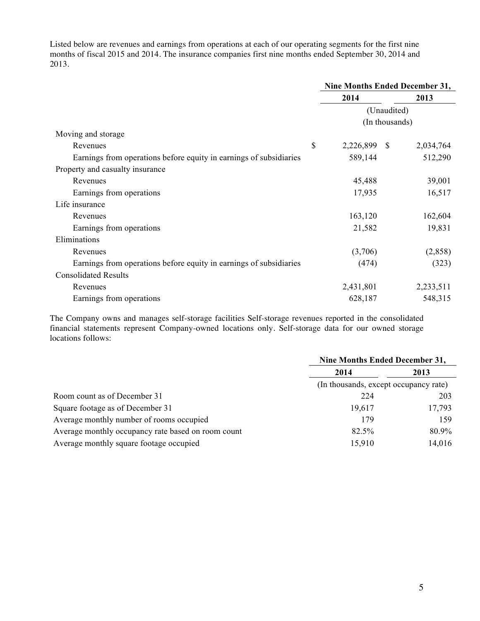Listed below are revenues and earnings from operations at each of our operating segments for the first nine months of fiscal 2015 and 2014. The insurance companies first nine months ended September 30, 2014 and 2013.

|                                                                    |              | <b>Nine Months Ended December 31,</b> |  |  |
|--------------------------------------------------------------------|--------------|---------------------------------------|--|--|
|                                                                    | 2014         | 2013                                  |  |  |
|                                                                    |              | (Unaudited)<br>(In thousands)         |  |  |
|                                                                    |              |                                       |  |  |
| Moving and storage                                                 |              |                                       |  |  |
| \$<br>Revenues                                                     | 2,226,899 \$ | 2,034,764                             |  |  |
| Earnings from operations before equity in earnings of subsidiaries | 589,144      | 512,290                               |  |  |
| Property and casualty insurance                                    |              |                                       |  |  |
| Revenues                                                           | 45,488       | 39,001                                |  |  |
| Earnings from operations                                           | 17,935       | 16,517                                |  |  |
| Life insurance                                                     |              |                                       |  |  |
| Revenues                                                           | 163,120      | 162,604                               |  |  |
| Earnings from operations                                           | 21,582       | 19,831                                |  |  |
| Eliminations                                                       |              |                                       |  |  |
| Revenues                                                           | (3,706)      | (2,858)                               |  |  |
| Earnings from operations before equity in earnings of subsidiaries | (474)        | (323)                                 |  |  |
| <b>Consolidated Results</b>                                        |              |                                       |  |  |
| Revenues                                                           | 2,431,801    | 2,233,511                             |  |  |
| Earnings from operations                                           | 628,187      | 548,315                               |  |  |

The Company owns and manages self-storage facilities Self-storage revenues reported in the consolidated financial statements represent Company-owned locations only. Self-storage data for our owned storage locations follows:

|                                                    |                                       | <b>Nine Months Ended December 31,</b> |  |  |  |
|----------------------------------------------------|---------------------------------------|---------------------------------------|--|--|--|
|                                                    | 2014                                  | 2013                                  |  |  |  |
|                                                    | (In thousands, except occupancy rate) |                                       |  |  |  |
| Room count as of December 31                       | 224                                   | 203                                   |  |  |  |
| Square footage as of December 31                   | 19.617                                | 17,793                                |  |  |  |
| Average monthly number of rooms occupied           | 179                                   | 159                                   |  |  |  |
| Average monthly occupancy rate based on room count | 82.5%                                 | 80.9%                                 |  |  |  |
| Average monthly square footage occupied            | 15,910                                | 14,016                                |  |  |  |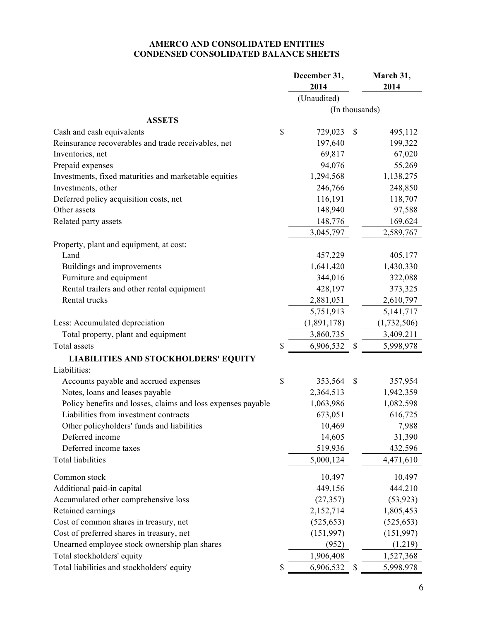## **AMERCO AND CONSOLIDATED ENTITIES CONDENSED CONSOLIDATED BALANCE SHEETS**

|                                                              | December 31,<br>2014 | March 31,<br>2014 |
|--------------------------------------------------------------|----------------------|-------------------|
|                                                              | (Unaudited)          |                   |
|                                                              | (In thousands)       |                   |
| <b>ASSETS</b>                                                |                      |                   |
| Cash and cash equivalents                                    | \$<br>729,023        | \$<br>495,112     |
| Reinsurance recoverables and trade receivables, net          | 197,640              | 199,322           |
| Inventories, net                                             | 69,817               | 67,020            |
| Prepaid expenses                                             | 94,076               | 55,269            |
| Investments, fixed maturities and marketable equities        | 1,294,568            | 1,138,275         |
| Investments, other                                           | 246,766              | 248,850           |
| Deferred policy acquisition costs, net                       | 116,191              | 118,707           |
| Other assets                                                 | 148,940              | 97,588            |
| Related party assets                                         | 148,776              | 169,624           |
|                                                              | 3,045,797            | 2,589,767         |
| Property, plant and equipment, at cost:                      |                      |                   |
| Land                                                         | 457,229              | 405,177           |
| Buildings and improvements                                   | 1,641,420            | 1,430,330         |
| Furniture and equipment                                      | 344,016              | 322,088           |
| Rental trailers and other rental equipment                   | 428,197              | 373,325           |
| Rental trucks                                                | 2,881,051            | 2,610,797         |
|                                                              | 5,751,913            | 5, 141, 717       |
| Less: Accumulated depreciation                               | (1,891,178)          | (1,732,506)       |
| Total property, plant and equipment                          | 3,860,735            | 3,409,211         |
| Total assets                                                 | \$<br>6,906,532      | \$<br>5,998,978   |
| <b>LIABILITIES AND STOCKHOLDERS' EQUITY</b>                  |                      |                   |
| Liabilities:                                                 |                      |                   |
| Accounts payable and accrued expenses                        | \$<br>353,564        | \$<br>357,954     |
| Notes, loans and leases payable                              | 2,364,513            | 1,942,359         |
| Policy benefits and losses, claims and loss expenses payable | 1,063,986            | 1,082,598         |
| Liabilities from investment contracts                        | 673,051              | 616,725           |
| Other policyholders' funds and liabilities                   | 10,469               | 7,988             |
| Deferred income                                              | 14,605               | 31,390            |
| Deferred income taxes                                        | 519,936              | 432,596           |
| <b>Total liabilities</b>                                     | 5,000,124            | 4,471,610         |
| Common stock                                                 | 10,497               | 10,497            |
| Additional paid-in capital                                   | 449,156              | 444,210           |
| Accumulated other comprehensive loss                         | (27, 357)            | (53, 923)         |
| Retained earnings                                            | 2,152,714            | 1,805,453         |
| Cost of common shares in treasury, net                       | (525, 653)           | (525, 653)        |
| Cost of preferred shares in treasury, net                    | (151,997)            | (151, 997)        |
| Unearned employee stock ownership plan shares                | (952)                | (1,219)           |
| Total stockholders' equity                                   | 1,906,408            | 1,527,368         |
| Total liabilities and stockholders' equity                   | \$<br>6,906,532      | \$<br>5,998,978   |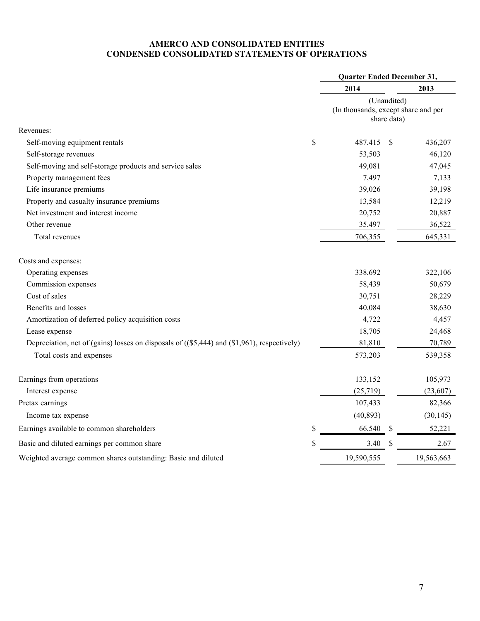## **AMERCO AND CONSOLIDATED ENTITIES CONDENSED CONSOLIDATED STATEMENTS OF OPERATIONS**

|                                                                                             |                           | Quarter Ended December 31,                                        |    |            |
|---------------------------------------------------------------------------------------------|---------------------------|-------------------------------------------------------------------|----|------------|
|                                                                                             |                           | 2014                                                              |    | 2013       |
|                                                                                             |                           | (Unaudited)<br>(In thousands, except share and per<br>share data) |    |            |
| Revenues:                                                                                   |                           |                                                                   |    |            |
| Self-moving equipment rentals                                                               | $\boldsymbol{\mathsf{S}}$ | 487,415                                                           | -S | 436,207    |
| Self-storage revenues                                                                       |                           | 53,503                                                            |    | 46,120     |
| Self-moving and self-storage products and service sales                                     |                           | 49,081                                                            |    | 47,045     |
| Property management fees                                                                    |                           | 7,497                                                             |    | 7,133      |
| Life insurance premiums                                                                     |                           | 39,026                                                            |    | 39,198     |
| Property and casualty insurance premiums                                                    |                           | 13,584                                                            |    | 12,219     |
| Net investment and interest income                                                          |                           | 20,752                                                            |    | 20,887     |
| Other revenue                                                                               |                           | 35,497                                                            |    | 36,522     |
| Total revenues                                                                              |                           | 706,355                                                           |    | 645,331    |
| Costs and expenses:                                                                         |                           |                                                                   |    |            |
| Operating expenses                                                                          |                           | 338,692                                                           |    | 322,106    |
| Commission expenses                                                                         |                           | 58,439                                                            |    | 50,679     |
| Cost of sales                                                                               |                           | 30,751                                                            |    | 28,229     |
| Benefits and losses                                                                         |                           | 40,084                                                            |    | 38,630     |
| Amortization of deferred policy acquisition costs                                           |                           | 4,722                                                             |    | 4,457      |
| Lease expense                                                                               |                           | 18,705                                                            |    | 24,468     |
| Depreciation, net of (gains) losses on disposals of ((\$5,444) and (\$1,961), respectively) |                           | 81,810                                                            |    | 70,789     |
| Total costs and expenses                                                                    |                           | 573,203                                                           |    | 539,358    |
| Earnings from operations                                                                    |                           | 133,152                                                           |    | 105,973    |
| Interest expense                                                                            |                           | (25,719)                                                          |    | (23,607)   |
| Pretax earnings                                                                             |                           | 107,433                                                           |    | 82,366     |
| Income tax expense                                                                          |                           | (40, 893)                                                         |    | (30, 145)  |
| Earnings available to common shareholders                                                   | \$                        | 66,540                                                            |    | 52,221     |
| Basic and diluted earnings per common share                                                 | \$                        | 3.40                                                              |    | 2.67       |
| Weighted average common shares outstanding: Basic and diluted                               |                           | 19,590,555                                                        |    | 19,563,663 |